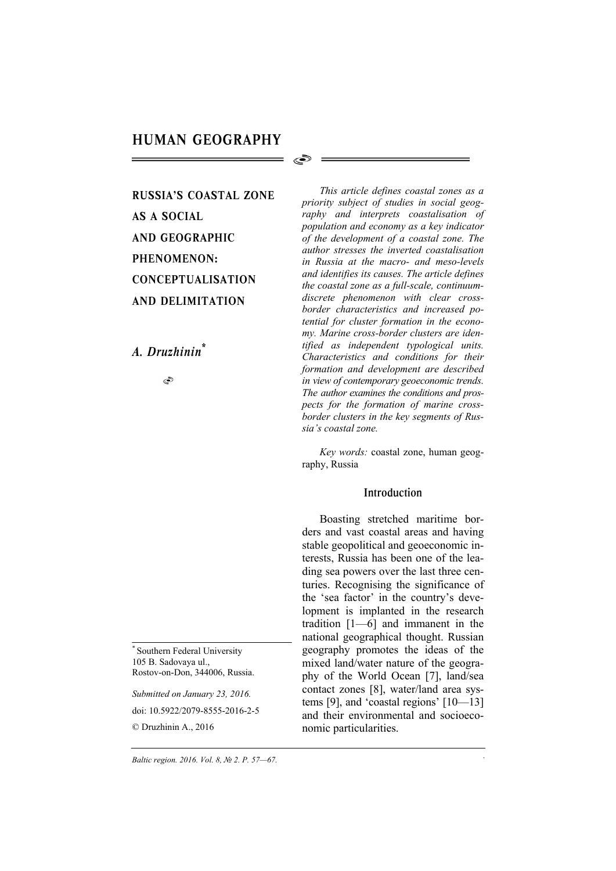S

# RUSSIA'S COASTAL ZONE AS A SOCIAL AND GEOGRAPHIC PHENOMENON: CONCEPTUALISATION AND DELIMITATION

## *A. Druzhinin\**

S

Southern Federal University 105 B. Sadovaya ul., Rostov-on-Don, 344006, Russia.

*Submitted on January 23, 2016.*  doi: 10.5922/2079-8555-2016-2-5 © Druzhinin A., 2016

*This article defines coastal zones as a priority subject of studies in social geography and interprets coastalisation of population and economy as a key indicator of the development of a coastal zone. The author stresses the inverted coastalisation in Russia at the macro- and meso-levels and identifies its causes. The article defines the coastal zone as a full-scale, continuumdiscrete phenomenon with clear crossborder characteristics and increased potential for cluster formation in the economy. Marine cross-border clusters are identified as independent typological units. Characteristics and conditions for their formation and development are described in view of contemporary geoeconomic trends. The author examines the conditions and prospects for the formation of marine crossborder clusters in the key segments of Russia's coastal zone.* 

*Key words:* coastal zone, human geography, Russia

## Introduction

Boasting stretched maritime borders and vast coastal areas and having stable geopolitical and geoeconomic interests, Russia has been one of the leading sea powers over the last three centuries. Recognising the significance of the 'sea factor' in the country's development is implanted in the research tradition [1—6] and immanent in the national geographical thought. Russian geography promotes the ideas of the mixed land/water nature of the geography of the World Ocean [7], land/sea contact zones [8], water/land area systems [9], and 'coastal regions' [10—13] and their environmental and socioeconomic particularities.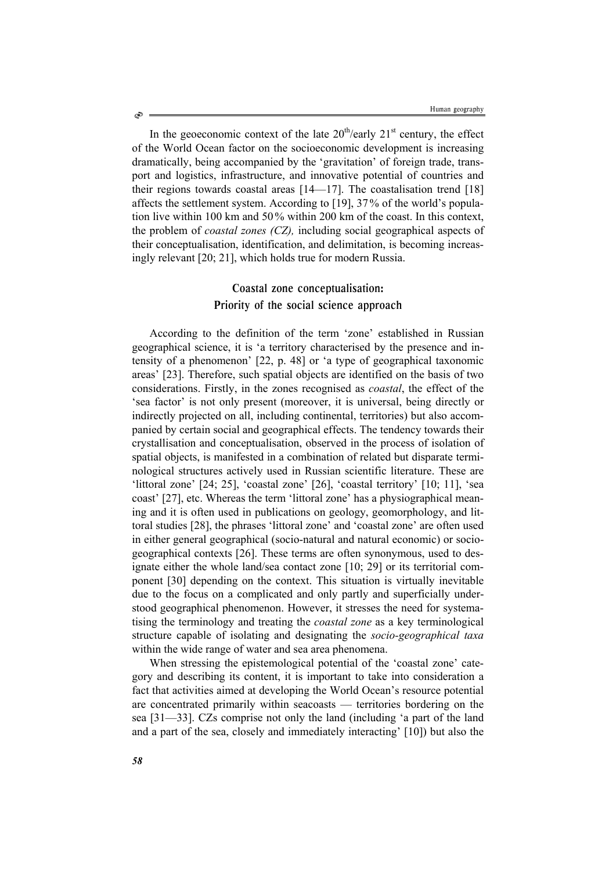In the geoeconomic context of the late  $20<sup>th</sup>/early$   $21<sup>st</sup>$  century, the effect of the World Ocean factor on the socioeconomic development is increasing dramatically, being accompanied by the 'gravitation' of foreign trade, transport and logistics, infrastructure, and innovative potential of countries and their regions towards coastal areas [14—17]. The coastalisation trend [18] affects the settlement system. According to [19], 37% of the world's population live within 100 km and 50% within 200 km of the coast. In this context, the problem of *coastal zones (CZ),* including social geographical aspects of their conceptualisation, identification, and delimitation, is becoming increasingly relevant [20; 21], which holds true for modern Russia.

# Coastal zone conceptualisation: Priority of the social science approach

According to the definition of the term 'zone' established in Russian geographical science, it is 'a territory characterised by the presence and intensity of a phenomenon' [22, p. 48] or 'a type of geographical taxonomic areas' [23]. Therefore, such spatial objects are identified on the basis of two considerations. Firstly, in the zones recognised as *coastal*, the effect of the 'sea factor' is not only present (moreover, it is universal, being directly or indirectly projected on all, including continental, territories) but also accompanied by certain social and geographical effects. The tendency towards their crystallisation and conceptualisation, observed in the process of isolation of spatial objects, is manifested in a combination of related but disparate terminological structures actively used in Russian scientific literature. These are 'littoral zone' [24; 25], 'coastal zone' [26], 'coastal territory' [10; 11], 'sea coast' [27], etc. Whereas the term 'littoral zone' has a physiographical meaning and it is often used in publications on geology, geomorphology, and littoral studies [28], the phrases 'littoral zone' and 'coastal zone' are often used in either general geographical (socio-natural and natural economic) or sociogeographical contexts [26]. These terms are often synonymous, used to designate either the whole land/sea contact zone [10; 29] or its territorial component [30] depending on the context. This situation is virtually inevitable due to the focus on a complicated and only partly and superficially understood geographical phenomenon. However, it stresses the need for systematising the terminology and treating the *coastal zone* as a key terminological structure capable of isolating and designating the *socio-geographical taxa* within the wide range of water and sea area phenomena.

When stressing the epistemological potential of the 'coastal zone' category and describing its content, it is important to take into consideration a fact that activities aimed at developing the World Ocean's resource potential are concentrated primarily within seacoasts — territories bordering on the sea [31—33]. CZs comprise not only the land (including 'a part of the land and a part of the sea, closely and immediately interacting' [10]) but also the

Ò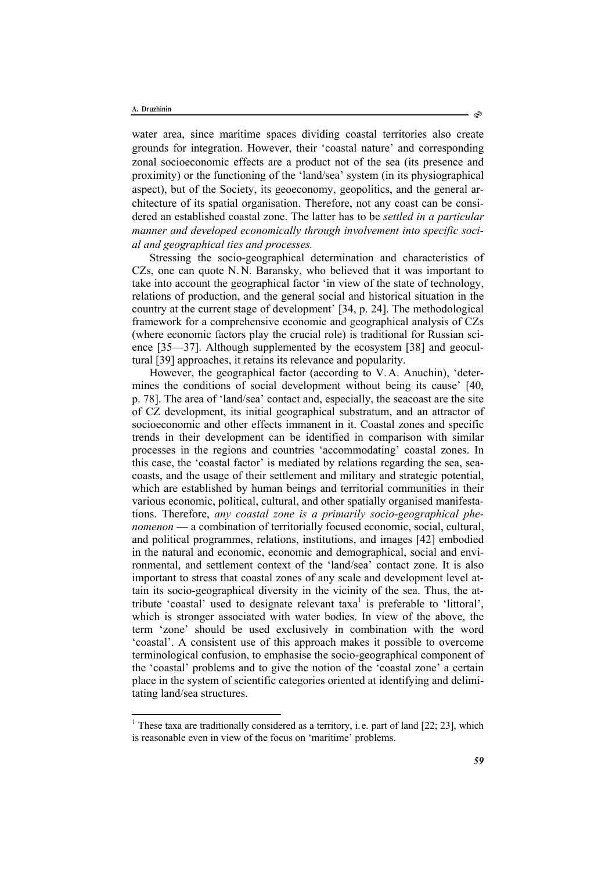l

water area, since maritime spaces dividing coastal territories also create grounds for integration. However, their 'coastal nature' and corresponding zonal socioeconomic effects are a product not of the sea (its presence and proximity) or the functioning of the 'land/sea' system (in its physiographical aspect), but of the Society, its geoeconomy, geopolitics, and the general architecture of its spatial organisation. Therefore, not any coast can be considered an established coastal zone. The latter has to be *settled in a particular manner and developed economically through involvement into specific social and geographical ties and processes.* 

Stressing the socio-geographical determination and characteristics of CZs, one can quote N.N. Baransky, who believed that it was important to take into account the geographical factor 'in view of the state of technology, relations of production, and the general social and historical situation in the country at the current stage of development' [34, p. 24]. The methodological framework for a comprehensive economic and geographical analysis of CZs (where economic factors play the crucial role) is traditional for Russian science [35—37]. Although supplemented by the ecosystem [38] and geocultural [39] approaches, it retains its relevance and popularity.

However, the geographical factor (according to V.A. Anuchin), 'determines the conditions of social development without being its cause' [40, p. 78]. The area of 'land/sea' contact and, especially, the seacoast are the site of CZ development, its initial geographical substratum, and an attractor of socioeconomic and other effects immanent in it. Coastal zones and specific trends in their development can be identified in comparison with similar processes in the regions and countries 'accommodating' coastal zones. In this case, the 'coastal factor' is mediated by relations regarding the sea, seacoasts, and the usage of their settlement and military and strategic potential, which are established by human beings and territorial communities in their various economic, political, cultural, and other spatially organised manifestations. Therefore, *any coastal zone is a primarily socio-geographical phenomenon* — a combination of territorially focused economic, social, cultural, and political programmes, relations, institutions, and images [42] embodied in the natural and economic, economic and demographical, social and environmental, and settlement context of the 'land/sea' contact zone. It is also important to stress that coastal zones of any scale and development level attain its socio-geographical diversity in the vicinity of the sea. Thus, the attribute 'coastal' used to designate relevant  $taxa<sup>1</sup>$  is preferable to 'littoral', which is stronger associated with water bodies. In view of the above, the term 'zone' should be used exclusively in combination with the word 'coastal'. A consistent use of this approach makes it possible to overcome terminological confusion, to emphasise the socio-geographical component of the 'coastal' problems and to give the notion of the 'coastal zone' a certain place in the system of scientific categories oriented at identifying and delimitating land/sea structures.

<sup>&</sup>lt;sup>1</sup> These taxa are traditionally considered as a territory, i.e. part of land [22; 23], which is reasonable even in view of the focus on 'maritime' problems.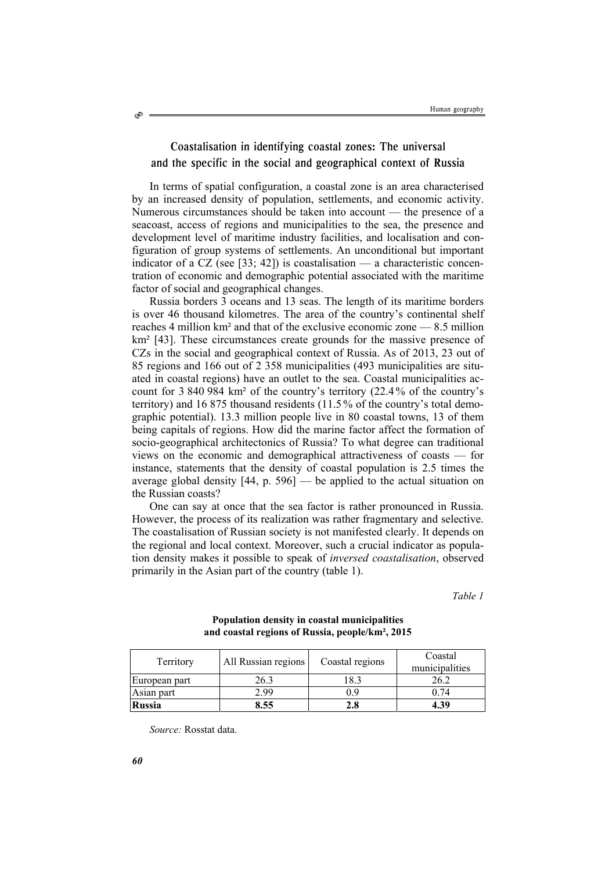## Coastalisation in identifying coastal zones: The universal and the specific in the social and geographical context of Russia

In terms of spatial configuration, a coastal zone is an area characterised by an increased density of population, settlements, and economic activity. Numerous circumstances should be taken into account — the presence of a seacoast, access of regions and municipalities to the sea, the presence and development level of maritime industry facilities, and localisation and configuration of group systems of settlements. An unconditional but important indicator of a CZ (see [33; 42]) is coastalisation — a characteristic concentration of economic and demographic potential associated with the maritime factor of social and geographical changes.

Russia borders 3 oceans and 13 seas. The length of its maritime borders is over 46 thousand kilometres. The area of the country's continental shelf reaches 4 million km² and that of the exclusive economic zone — 8.5 million km<sup>2</sup> [43]. These circumstances create grounds for the massive presence of CZs in the social and geographical context of Russia. As of 2013, 23 out of 85 regions and 166 out of 2 358 municipalities (493 municipalities are situated in coastal regions) have an outlet to the sea. Coastal municipalities account for 3 840 984 km² of the country's territory (22.4% of the country's territory) and 16 875 thousand residents (11.5% of the country's total demographic potential). 13.3 million people live in 80 coastal towns, 13 of them being capitals of regions. How did the marine factor affect the formation of socio-geographical architectonics of Russia? To what degree can traditional views on the economic and demographical attractiveness of coasts — for instance, statements that the density of coastal population is 2.5 times the average global density  $[44, p. 596]$  — be applied to the actual situation on the Russian coasts?

One can say at once that the sea factor is rather pronounced in Russia. However, the process of its realization was rather fragmentary and selective. The coastalisation of Russian society is not manifested clearly. It depends on the regional and local context. Moreover, such a crucial indicator as population density makes it possible to speak of *inversed coastalisation*, observed primarily in the Asian part of the country (table 1).

*Table 1* 

| Territory     | All Russian regions | Coastal regions | Coastal<br>municipalities |
|---------------|---------------------|-----------------|---------------------------|
| European part | 26.3                | 8.3             | 26.2                      |
| Asian part    | 2.99                | 0.9             |                           |
| <b>Russia</b> | 8.55                | 2.8             | 4.39                      |

#### **Population density in coastal municipalities and coastal regions of Russia, people/km², 2015**

*Source:* Rosstat data.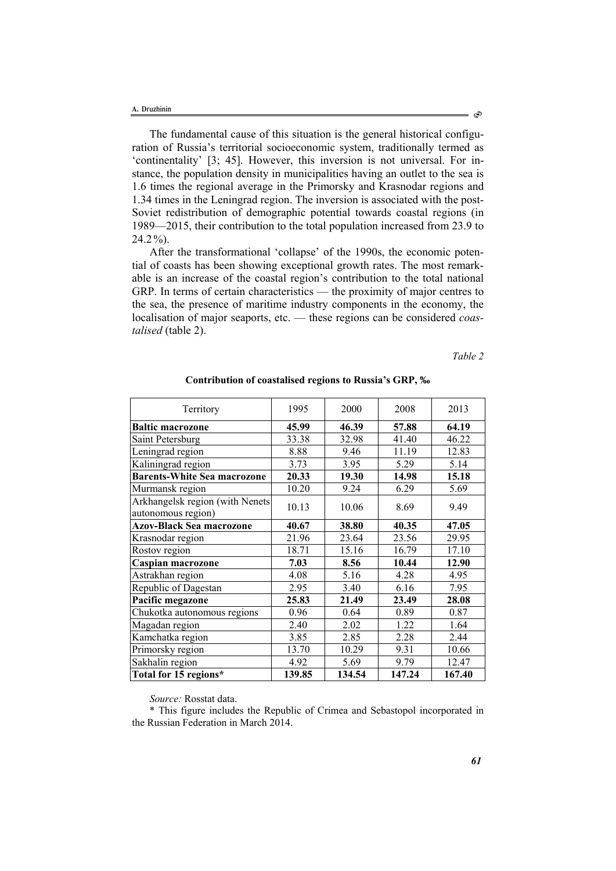The fundamental cause of this situation is the general historical configuration of Russia's territorial socioeconomic system, traditionally termed as 'continentality' [3; 45]. However, this inversion is not universal. For instance, the population density in municipalities having an outlet to the sea is 1.6 times the regional average in the Primorsky and Krasnodar regions and 1.34 times in the Leningrad region. The inversion is associated with the post-Soviet redistribution of demographic potential towards coastal regions (in 1989—2015, their contribution to the total population increased from 23.9 to 24.2%).

After the transformational 'collapse' of the 1990s, the economic potential of coasts has been showing exceptional growth rates. The most remarkable is an increase of the coastal region's contribution to the total national GRP. In terms of certain characteristics — the proximity of major centres to the sea, the presence of maritime industry components in the economy, the localisation of major seaports, etc. — these regions can be considered *coastalised* (table 2).

*Table 2* 

| Total for 15 regions*                                 | 139.85 | 134.54 | 147.24 | 167.40 |
|-------------------------------------------------------|--------|--------|--------|--------|
| Sakhalin region                                       | 4.92   | 5.69   | 9.79   | 12.47  |
| Primorsky region                                      | 13.70  | 10.29  | 9.31   | 10.66  |
| Kamchatka region                                      | 3.85   | 2.85   | 2.28   | 2.44   |
| Magadan region                                        | 2.40   | 2.02   | 1.22   | 1.64   |
| Chukotka autonomous regions                           | 0.96   | 0.64   | 0.89   | 0.87   |
| Pacific megazone                                      | 25.83  | 21.49  | 23.49  | 28.08  |
| Republic of Dagestan                                  | 2.95   | 3.40   | 6.16   | 7.95   |
| Astrakhan region                                      | 4.08   | 5.16   | 4.28   | 4.95   |
| Caspian macrozone                                     | 7.03   | 8.56   | 10.44  | 12.90  |
| Rostov region                                         | 18.71  | 15.16  | 16.79  | 17.10  |
| Krasnodar region                                      | 21.96  | 23.64  | 23.56  | 29.95  |
| <b>Azov-Black Sea macrozone</b>                       | 40.67  | 38.80  | 40.35  | 47.05  |
| Arkhangelsk region (with Nenets<br>autonomous region) | 10.13  | 10.06  | 8.69   | 9.49   |
| Murmansk region                                       | 10.20  | 9.24   | 6.29   | 5.69   |
| <b>Barents-White Sea macrozone</b>                    | 20.33  | 19.30  | 14.98  | 15.18  |
| Kaliningrad region                                    | 3.73   | 3.95   | 5.29   | 5.14   |
| Leningrad region                                      | 8.88   | 9.46   | 11.19  | 12.83  |
| Saint Petersburg                                      | 33.38  | 32.98  | 41.40  | 46.22  |
| <b>Baltic macrozone</b>                               | 45.99  | 46.39  | 57.88  | 64.19  |
| Territory                                             | 1995   | 2000   | 2008   | 2013   |
|                                                       |        |        |        |        |

#### **Contribution of coastalised regions to Russia's GRP, ‰**

*Source:* Rosstat data.

\* This figure includes the Republic of Crimea and Sebastopol incorporated in the Russian Federation in March 2014.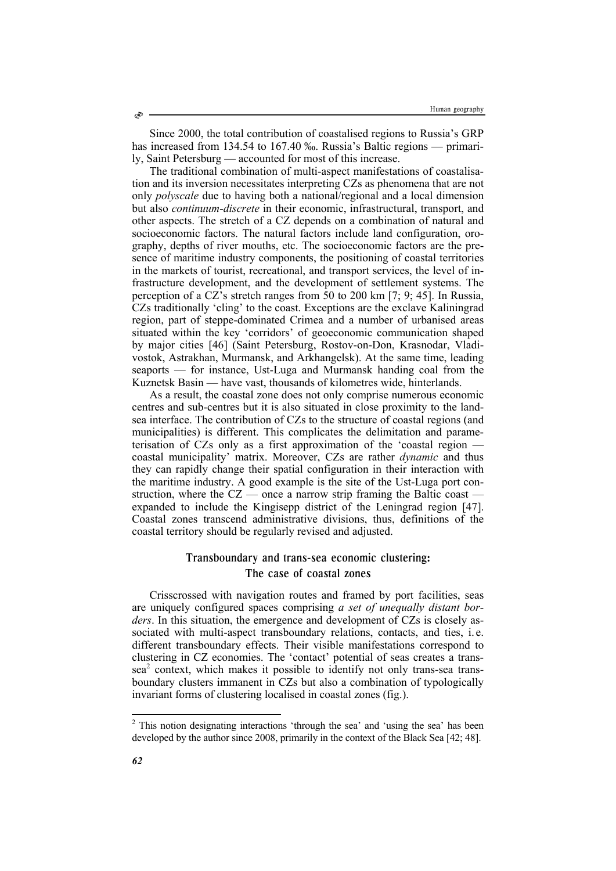Since 2000, the total contribution of coastalised regions to Russia's GRP has increased from 134.54 to 167.40 ‰. Russia's Baltic regions — primarily, Saint Petersburg — accounted for most of this increase.

The traditional combination of multi-aspect manifestations of coastalisation and its inversion necessitates interpreting CZs as phenomena that are not only *polyscale* due to having both a national/regional and a local dimension but also *continuum-discrete* in their economic, infrastructural, transport, and other aspects. The stretch of a CZ depends on a combination of natural and socioeconomic factors. The natural factors include land configuration, orography, depths of river mouths, etc. The socioeconomic factors are the presence of maritime industry components, the positioning of coastal territories in the markets of tourist, recreational, and transport services, the level of infrastructure development, and the development of settlement systems. The perception of a CZ's stretch ranges from 50 to 200 km [7; 9; 45]. In Russia, CZs traditionally 'cling' to the coast. Exceptions are the exclave Kaliningrad region, part of steppe-dominated Crimea and a number of urbanised areas situated within the key 'corridors' of geoeconomic communication shaped by major cities [46] (Saint Petersburg, Rostov-on-Don, Krasnodar, Vladivostok, Astrakhan, Murmansk, and Arkhangelsk). At the same time, leading seaports — for instance, Ust-Luga and Murmansk handing coal from the Kuznetsk Basin — have vast, thousands of kilometres wide, hinterlands.

As a result, the coastal zone does not only comprise numerous economic centres and sub-centres but it is also situated in close proximity to the landsea interface. The contribution of CZs to the structure of coastal regions (and municipalities) is different. This complicates the delimitation and parameterisation of CZs only as a first approximation of the 'coastal region coastal municipality' matrix. Moreover, CZs are rather *dynamic* and thus they can rapidly change their spatial configuration in their interaction with the maritime industry. A good example is the site of the Ust-Luga port construction, where the  $CZ$  — once a narrow strip framing the Baltic coast expanded to include the Kingisepp district of the Leningrad region [47]. Coastal zones transcend administrative divisions, thus, definitions of the coastal territory should be regularly revised and adjusted.

## Transboundary and trans-sea economic clustering: The case of coastal zones

Crisscrossed with navigation routes and framed by port facilities, seas are uniquely configured spaces comprising *a set of unequally distant borders*. In this situation, the emergence and development of CZs is closely associated with multi-aspect transboundary relations, contacts, and ties, i. e. different transboundary effects. Their visible manifestations correspond to clustering in CZ economies. The 'contact' potential of seas creates a transsea<sup>2</sup> context, which makes it possible to identify not only trans-sea transboundary clusters immanent in CZs but also a combination of typologically invariant forms of clustering localised in coastal zones (fig.).

l

<sup>&</sup>lt;sup>2</sup> This notion designating interactions 'through the sea' and 'using the sea' has been developed by the author since 2008, primarily in the context of the Black Sea [42; 48].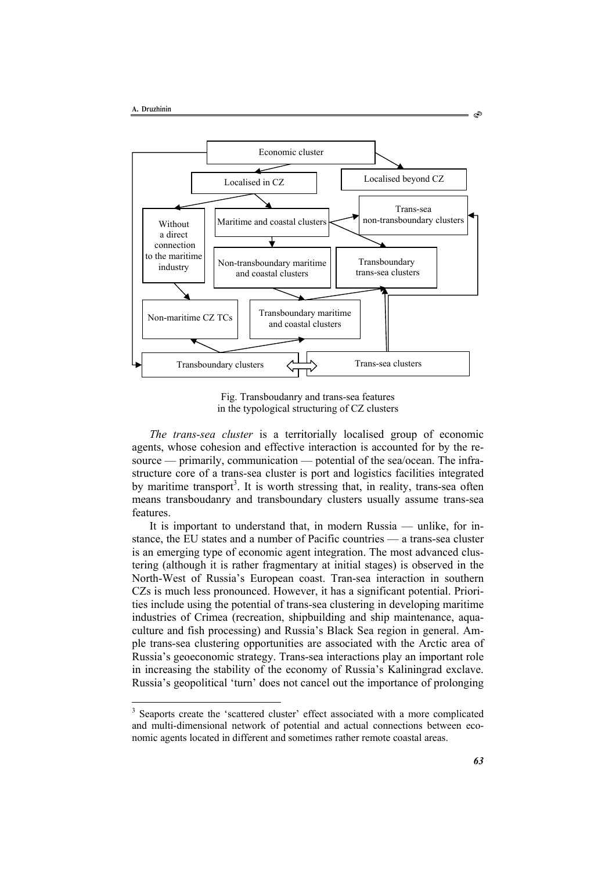l



Fig. Transboudanry and trans-sea features in the typological structuring of CZ clusters

*The trans-sea cluster* is a territorially localised group of economic agents, whose cohesion and effective interaction is accounted for by the resource — primarily, communication — potential of the sea/ocean. The infrastructure core of a trans-sea cluster is port and logistics facilities integrated by maritime transport<sup>3</sup>. It is worth stressing that, in reality, trans-sea often means transboudanry and transboundary clusters usually assume trans-sea features.

It is important to understand that, in modern Russia — unlike, for instance, the EU states and a number of Pacific countries — a trans-sea cluster is an emerging type of economic agent integration. The most advanced clustering (although it is rather fragmentary at initial stages) is observed in the North-West of Russia's European coast. Tran-sea interaction in southern CZs is much less pronounced. However, it has a significant potential. Priorities include using the potential of trans-sea clustering in developing maritime industries of Crimea (recreation, shipbuilding and ship maintenance, aquaculture and fish processing) and Russia's Black Sea region in general. Ample trans-sea clustering opportunities are associated with the Arctic area of Russia's geoeconomic strategy. Trans-sea interactions play an important role in increasing the stability of the economy of Russia's Kaliningrad exclave. Russia's geopolitical 'turn' does not cancel out the importance of prolonging

Ò

<sup>&</sup>lt;sup>3</sup> Seaports create the 'scattered cluster' effect associated with a more complicated and multi-dimensional network of potential and actual connections between economic agents located in different and sometimes rather remote coastal areas.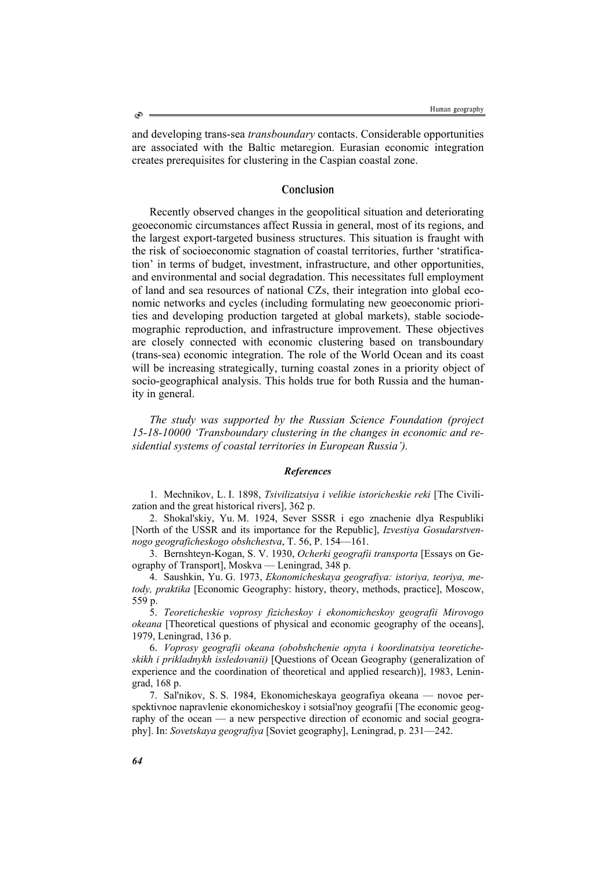and developing trans-sea *transboundary* contacts. Considerable opportunities are associated with the Baltic metaregion. Eurasian economic integration creates prerequisites for clustering in the Caspian coastal zone.

## Conclusion

Recently observed changes in the geopolitical situation and deteriorating geoeconomic circumstances affect Russia in general, most of its regions, and the largest export-targeted business structures. This situation is fraught with the risk of socioeconomic stagnation of coastal territories, further 'stratification' in terms of budget, investment, infrastructure, and other opportunities, and environmental and social degradation. This necessitates full employment of land and sea resources of national CZs, their integration into global economic networks and cycles (including formulating new geoeconomic priorities and developing production targeted at global markets), stable sociodemographic reproduction, and infrastructure improvement. These objectives are closely connected with economic clustering based on transboundary (trans-sea) economic integration. The role of the World Ocean and its coast will be increasing strategically, turning coastal zones in a priority object of socio-geographical analysis. This holds true for both Russia and the humanity in general.

*The study was supported by the Russian Science Foundation (project 15-18-10000 'Transboundary clustering in the changes in economic and residential systems of coastal territories in European Russia').* 

#### *References*

1. Mechnikov, L. I. 1898, *Tsivilizatsiya i velikie istoricheskie reki* [The Civilization and the great historical rivers], 362 p.

2. Shokal'skiy, Yu. M. 1924, Sever SSSR i ego znachenie dlya Respubliki [North of the USSR and its importance for the Republic], *Izvestiya Gosudarstvennogo geograficheskogo obshchestva*, T. 56, P. 154—161.

3. Bernshteyn-Kogan, S. V. 1930, *Ocherki geografii transporta* [Essays on Geography of Transport], Moskva — Leningrad, 348 p.

4. Saushkin, Yu. G. 1973, *Ekonomicheskaya geografiya: istoriya, teoriya, metody, praktika* [Economic Geography: history, theory, methods, practice], Moscow, 559 p.

5. *Teoreticheskie voprosy fizicheskoy i ekonomicheskoy geografii Mirovogo okeana* [Theoretical questions of physical and economic geography of the oceans], 1979, Leningrad, 136 p.

6. *Voprosy geografii okeana (obobshchenie opyta i koordinatsiya teoreticheskikh i prikladnykh issledovanii)* [Questions of Ocean Geography (generalization of experience and the coordination of theoretical and applied research)], 1983, Leningrad, 168 p.

7. Sal'nikov, S. S. 1984, Ekonomicheskaya geografiya okeana — novoe perspektivnoe napravlenie ekonomicheskoy i sotsial'noy geografii [The economic geography of the ocean — a new perspective direction of economic and social geography]. In: *Sovetskaya geografiya* [Soviet geography], Leningrad, p. 231—242.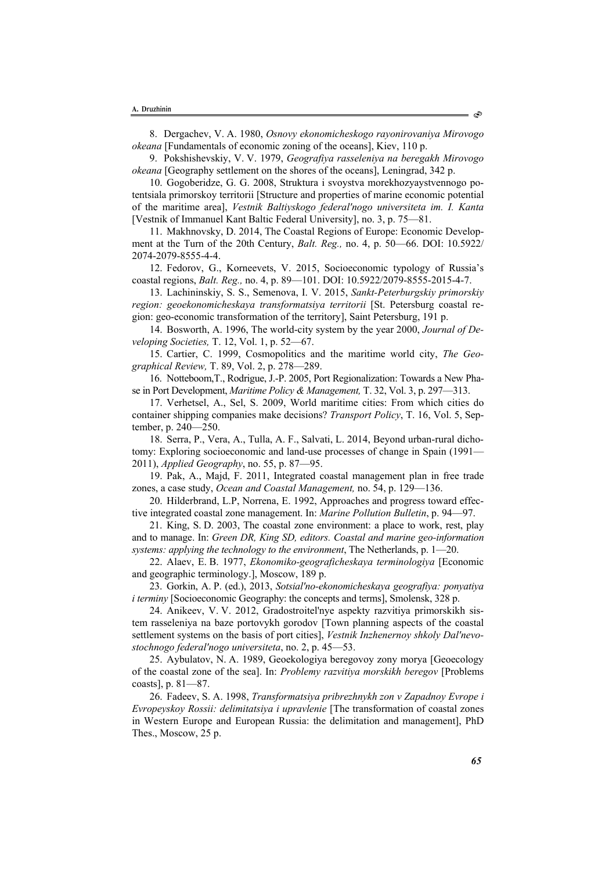8. Dergachev, V. A. 1980, *Osnovy ekonomicheskogo rayonirovaniya Mirovogo okeana* [Fundamentals of economic zoning of the oceans], Kiev, 110 p.

9. Pokshishevskiy, V. V. 1979, *Geografiya rasseleniya na beregakh Mirovogo okeana* [Geography settlement on the shores of the oceans], Leningrad, 342 p.

10. Gogoberidze, G. G. 2008, Struktura i svoystva morekhozyaystvennogo potentsiala primorskoy territorii [Structure and properties of marine economic potential of the maritime area], *Vestnik Baltiyskogo federal'nogo universiteta im. I. Kanta*  [Vestnik of Immanuel Kant Baltic Federal University], no. 3, p. 75—81.

11. Makhnovsky, D. 2014, The Coastal Regions of Europe: Economic Development at the Turn of the 20th Century, *Balt. Reg.,* no. 4, p. 50—66. DOI: 10.5922/ 2074-2079-8555-4-4.

12. Fedorov, G., Korneevets, V. 2015, Socioeconomic typology of Russia's coastal regions, *Balt. Reg.,* no. 4, p. 89—101. DOI: 10.5922/2079-8555-2015-4-7.

13. Lachininskiy, S. S., Semenova, I. V. 2015, *Sankt-Peterburgskiy primorskiy region: geoekonomicheskaya transformatsiya territorii* [St. Petersburg coastal region: geo-economic transformation of the territory], Saint Petersburg, 191 p.

14. Bosworth, A. 1996, The world-city system by the year 2000, *Journal of Developing Societies,* T. 12, Vol. 1, p. 52—67.

15. Cartier, C. 1999, Cosmopolitics and the maritime world city, *The Geographical Review,* T. 89, Vol. 2, p. 278—289.

16. Notteboom,T., Rodrigue, J.-P. 2005, Port Regionalization: Towards a New Phase in Port Development, *Maritime Policy & Management,* T. 32, Vol. 3, p. 297—313.

17. Verhetsel, A., Sel, S. 2009, World maritime cities: From which cities do container shipping companies make decisions? *Transport Policy*, T. 16, Vol. 5, September, p. 240—250.

18. Serra, P., Vera, A., Tulla, A. F., Salvati, L. 2014, Beyond urban-rural dichotomy: Exploring socioeconomic and land-use processes of change in Spain (1991— 2011), *Applied Geography*, no. 55, p. 87—95.

19. Pak, A., Majd, F. 2011, Integrated coastal management plan in free trade zones, a case study, *Ocean and Coastal Management,* no. 54, p. 129—136.

20. Hilderbrand, L.P, Norrena, E. 1992, Approaches and progress toward effective integrated coastal zone management. In: *Marine Pollution Bulletin*, p. 94—97.

21. King, S. D. 2003, The coastal zone environment: a place to work, rest, play and to manage. In: *Green DR, King SD, editors. Coastal and marine geo-information systems: applying the technology to the environment*, The Netherlands, p. 1—20.

22. Alaev, E. B. 1977, *Ekonomiko-geograficheskaya terminologiya* [Economic and geographic terminology.], Moscow, 189 p.

23. Gorkin, A. P. (ed.), 2013, *Sotsial'no-ekonomicheskaya geografiya: ponyatiya i terminy* [Socioeconomic Geography: the concepts and terms], Smolensk, 328 p.

24. Anikeev, V. V. 2012, Gradostroitel'nye aspekty razvitiya primorskikh sistem rasseleniya na baze portovykh gorodov [Town planning aspects of the coastal settlement systems on the basis of port cities], *Vestnik Inzhenernoy shkoly Dal'nevostochnogo federal'nogo universiteta*, no. 2, p. 45—53.

25. Aybulatov, N. A. 1989, Geoekologiya beregovoy zony morya [Geoecology of the coastal zone of the sea]. In: *Problemy razvitiya morskikh beregov* [Problems coasts], p. 81—87.

26. Fadeev, S. A. 1998, *Transformatsiya pribrezhnykh zon v Zapadnoy Evrope i Evropeyskoy Rossii: delimitatsiya i upravlenie* [The transformation of coastal zones in Western Europe and European Russia: the delimitation and management], PhD Thes., Moscow, 25 p.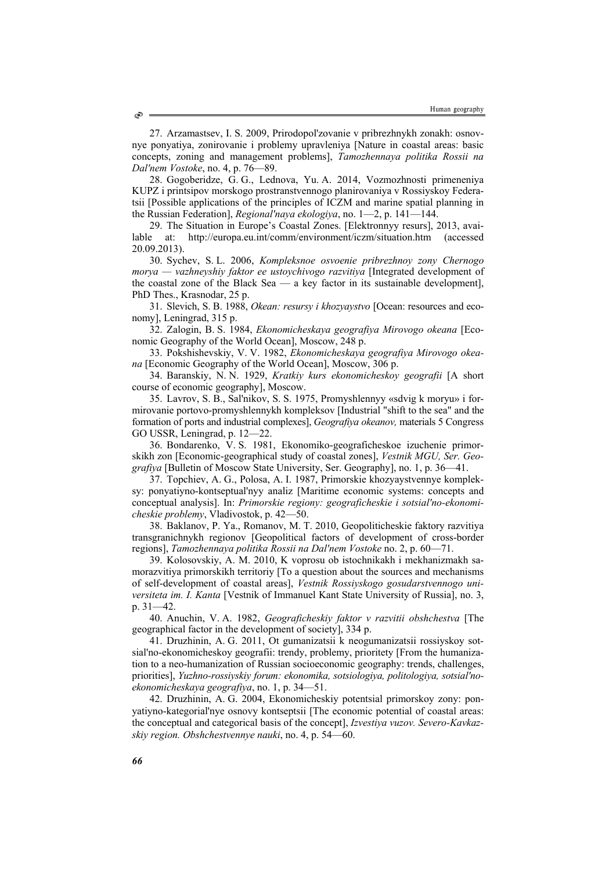27. Arzamastsev, I. S. 2009, Prirodopol'zovanie v pribrezhnykh zonakh: osnovnye ponyatiya, zonirovanie i problemy upravleniya [Nature in coastal areas: basic concepts, zoning and management problems], *Tamozhennaya politika Rossii na Dal'nem Vostoke*, no. 4, p. 76—89.

28. Gogoberidze, G. G., Lednova, Yu. A. 2014, Vozmozhnosti primeneniya KUPZ i printsipov morskogo prostranstvennogo planirovaniya v Rossiyskoy Federatsii [Possible applications of the principles of ICZM and marine spatial planning in the Russian Federation], *Regional'naya ekologiya*, no. 1—2, p. 141—144.

29. The Situation in Europe's Coastal Zones. [Elektronnyy resurs], 2013, available at: http://europa.eu.int/comm/environment/iczm/situation.htm (accessed 20.09.2013).

30. Sychev, S. L. 2006, *Kompleksnoe osvoenie pribrezhnoy zony Chernogo morya — vazhneyshiy faktor ee ustoychivogo razvitiya* [Integrated development of the coastal zone of the Black Sea — a key factor in its sustainable development], PhD Thes., Krasnodar, 25 p.

31. Slevich, S. B. 1988, *Okean: resursy i khozyaystvo* [Ocean: resources and economy], Leningrad, 315 p.

32. Zalogin, B. S. 1984, *Ekonomicheskaya geografiya Mirovogo okeana* [Economic Geography of the World Ocean], Moscow, 248 p.

33. Pokshishevskiy, V. V. 1982, *Ekonomicheskaya geografiya Mirovogo okeana* [Economic Geography of the World Ocean], Moscow, 306 p.

34. Baranskiy, N. N. 1929, *Kratkiy kurs ekonomicheskoy geografii* [A short course of economic geography], Moscow.

35. Lavrov, S. B., Sal'nikov, S. S. 1975, Promyshlennyy «sdvig k moryu» i formirovanie portovo-promyshlennykh kompleksov [Industrial "shift to the sea" and the formation of ports and industrial complexes], *Geografiya okeanov,* materials 5 Congress GO USSR, Leningrad, p. 12—22.

36. Bondarenko, V. S. 1981, Ekonomiko-geograficheskoe izuchenie primorskikh zon [Economic-geographical study of coastal zones], *Vestnik MGU, Ser. Geografiya* [Bulletin of Moscow State University, Ser. Geography], no. 1, p. 36—41.

37. Topchiev, A. G., Polosa, A. I. 1987, Primorskie khozyaystvennye kompleksy: ponyatiyno-kontseptual'nyy analiz [Maritime economic systems: concepts and conceptual analysis]. In: *Primorskie regiony: geograficheskie i sotsial'no-ekonomicheskie problemy*, Vladivostok, p. 42—50.

38. Baklanov, P. Ya., Romanov, M. T. 2010, Geopoliticheskie faktory razvitiya transgranichnykh regionov [Geopolitical factors of development of cross-border regions], *Tamozhennaya politika Rossii na Dal'nem Vostoke* no. 2, p. 60—71.

39. Kolosovskiy, A. M. 2010, K voprosu ob istochnikakh i mekhanizmakh samorazvitiya primorskikh territoriy [To a question about the sources and mechanisms of self-development of coastal areas], *Vestnik Rossiyskogo gosudarstvennogo universiteta im. I. Kanta* [Vestnik of Immanuel Kant State University of Russia], no. 3, p. 31—42.

40. Anuchin, V. A. 1982, *Geograficheskiy faktor v razvitii obshchestva* [The geographical factor in the development of society], 334 p.

41. Druzhinin, A. G. 2011, Ot gumanizatsii k neogumanizatsii rossiyskoy sotsial'no-ekonomicheskoy geografii: trendy, problemy, prioritety [From the humanization to a neo-humanization of Russian socioeconomic geography: trends, challenges, priorities], *Yuzhno-rossiyskiy forum: ekonomika, sotsiologiya, politologiya, sotsial'noekonomicheskaya geografiya*, no. 1, p. 34—51.

42. Druzhinin, A. G. 2004, Ekonomicheskiy potentsial primorskoy zony: ponyatiyno-kategorial'nye osnovy kontseptsii [The economic potential of coastal areas: the conceptual and categorical basis of the concept], *Izvestiya vuzov. Severo-Kavkazskiy region. Obshchestvennye nauki*, no. 4, p. 54—60.

 $\circledcirc$